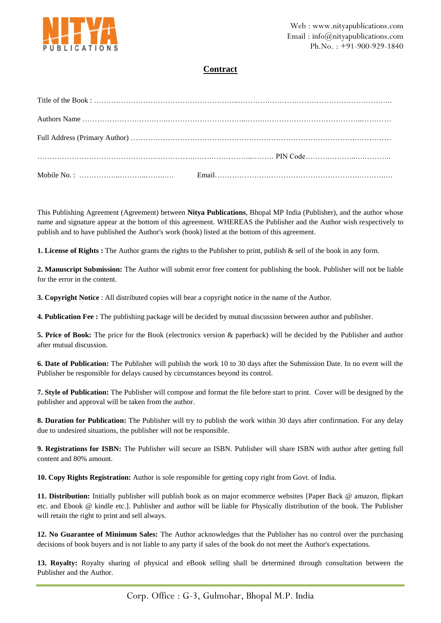

## **Contract**

This Publishing Agreement (Agreement) between **Nitya Publications**, Bhopal MP India (Publisher), and the author whose name and signature appear at the bottom of this agreement. WHEREAS the Publisher and the Author wish respectively to publish and to have published the Author's work (book) listed at the bottom of this agreement.

**1. License of Rights :** The Author grants the rights to the Publisher to print, publish & sell of the book in any form.

**2. Manuscript Submission:** The Author will submit error free content for publishing the book. Publisher will not be liable for the error in the content.

**3. Copyright Notice** : All distributed copies will bear a copyright notice in the name of the Author.

**4. Publication Fee :** The publishing package will be decided by mutual discussion between author and publisher.

**5. Price of Book:** The price for the Book (electronics version & paperback) will be decided by the Publisher and author after mutual discussion.

**6. Date of Publication:** The Publisher will publish the work 10 to 30 days after the Submission Date. In no event will the Publisher be responsible for delays caused by circumstances beyond its control.

**7. Style of Publication:** The Publisher will compose and format the file before start to print. Cover will be designed by the publisher and approval will be taken from the author.

**8. Duration for Publication:** The Publisher will try to publish the work within 30 days after confirmation. For any delay due to undesired situations, the publisher will not be responsible.

**9. Registrations for ISBN:** The Publisher will secure an ISBN. Publisher will share ISBN with author after getting full content and 80% amount.

**10. Copy Rights Registration:** Author is sole responsible for getting copy right from Govt. of India.

**11. Distribution:** Initially publisher will publish book as on major ecommerce websites [Paper Back @ amazon, flipkart etc. and Ebook @ kindle etc.]. Publisher and author will be liable for Physically distribution of the book. The Publisher will retain the right to print and sell always.

**12. No Guarantee of Minimum Sales:** The Author acknowledges that the Publisher has no control over the purchasing decisions of book buyers and is not liable to any party if sales of the book do not meet the Author's expectations.

**13. Royalty:** Royalty sharing of physical and eBook selling shall be determined through consultation between the Publisher and the Author.